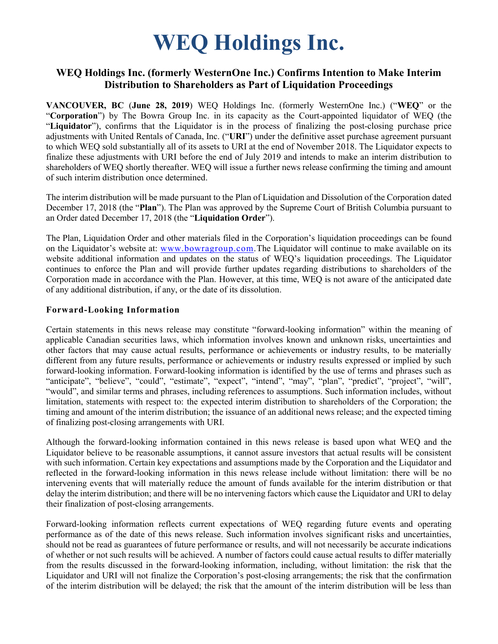# **WEQ Holdings Inc.**

## **WEQ Holdings Inc. (formerly WesternOne Inc.) Confirms Intention to Make Interim Distribution to Shareholders as Part of Liquidation Proceedings**

**VANCOUVER, BC** (**June 28, 2019**) WEQ Holdings Inc. (formerly WesternOne Inc.) ("**WEQ**" or the "**Corporation**") by The Bowra Group Inc. in its capacity as the Court-appointed liquidator of WEQ (the "**Liquidator**"), confirms that the Liquidator is in the process of finalizing the post-closing purchase price adjustments with United Rentals of Canada, Inc. ("**URI**") under the definitive asset purchase agreement pursuant to which WEQ sold substantially all of its assets to URI at the end of November 2018. The Liquidator expects to finalize these adjustments with URI before the end of July 2019 and intends to make an interim distribution to shareholders of WEQ shortly thereafter. WEQ will issue a further news release confirming the timing and amount of such interim distribution once determined.

The interim distribution will be made pursuant to the Plan of Liquidation and Dissolution of the Corporation dated December 17, 2018 (the "**Plan**"). The Plan was approved by the Supreme Court of British Columbia pursuant to an Order dated December 17, 2018 (the "**Liquidation Order**").

The Plan, Liquidation Order and other materials filed in the Corporation's liquidation proceedings can be found on the Liquidator's website at: [www.bowragroup.com.](http://www.bowragroup.com/)The Liquidator will continue to make available on its website additional information and updates on the status of WEQ's liquidation proceedings. The Liquidator continues to enforce the Plan and will provide further updates regarding distributions to shareholders of the Corporation made in accordance with the Plan. However, at this time, WEQ is not aware of the anticipated date of any additional distribution, if any, or the date of its dissolution.

#### **Forward-Looking Information**

Certain statements in this news release may constitute "forward-looking information" within the meaning of applicable Canadian securities laws, which information involves known and unknown risks, uncertainties and other factors that may cause actual results, performance or achievements or industry results, to be materially different from any future results, performance or achievements or industry results expressed or implied by such forward-looking information. Forward-looking information is identified by the use of terms and phrases such as "anticipate", "believe", "could", "estimate", "expect", "intend", "may", "plan", "predict", "project", "will", "would", and similar terms and phrases, including references to assumptions. Such information includes, without limitation, statements with respect to: the expected interim distribution to shareholders of the Corporation; the timing and amount of the interim distribution; the issuance of an additional news release; and the expected timing of finalizing post-closing arrangements with URI.

Although the forward-looking information contained in this news release is based upon what WEQ and the Liquidator believe to be reasonable assumptions, it cannot assure investors that actual results will be consistent with such information. Certain key expectations and assumptions made by the Corporation and the Liquidator and reflected in the forward-looking information in this news release include without limitation: there will be no intervening events that will materially reduce the amount of funds available for the interim distribution or that delay the interim distribution; and there will be no intervening factors which cause the Liquidator and URI to delay their finalization of post-closing arrangements.

Forward-looking information reflects current expectations of WEQ regarding future events and operating performance as of the date of this news release. Such information involves significant risks and uncertainties, should not be read as guarantees of future performance or results, and will not necessarily be accurate indications of whether or not such results will be achieved. A number of factors could cause actual results to differ materially from the results discussed in the forward-looking information, including, without limitation: the risk that the Liquidator and URI will not finalize the Corporation's post-closing arrangements; the risk that the confirmation of the interim distribution will be delayed; the risk that the amount of the interim distribution will be less than